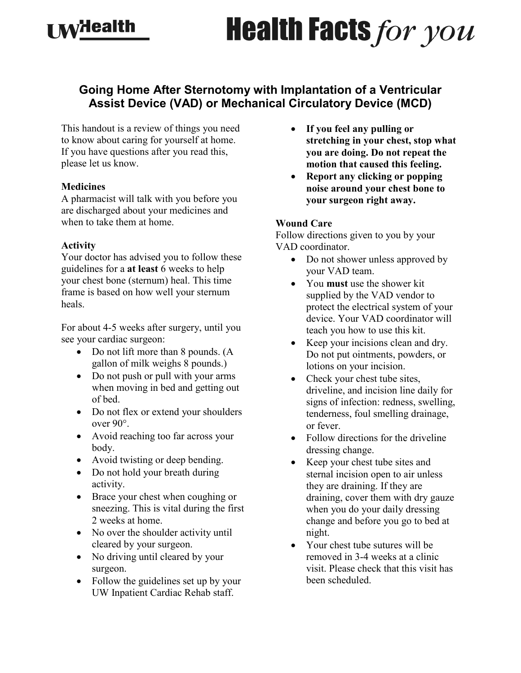# **Health Facts for you**

# **Going Home After Sternotomy with Implantation of a Ventricular Assist Device (VAD) or Mechanical Circulatory Device (MCD)**

This handout is a review of things you need to know about caring for yourself at home. If you have questions after you read this, please let us know.

#### **Medicines**

**I Mydealth** 

A pharmacist will talk with you before you are discharged about your medicines and when to take them at home.

### **Activity**

Your doctor has advised you to follow these guidelines for a **at least** 6 weeks to help your chest bone (sternum) heal. This time frame is based on how well your sternum heals.

For about 4-5 weeks after surgery, until you see your cardiac surgeon:

- Do not lift more than 8 pounds. (A gallon of milk weighs 8 pounds.)
- Do not push or pull with your arms when moving in bed and getting out of bed.
- Do not flex or extend your shoulders over 90°.
- Avoid reaching too far across your body.
- Avoid twisting or deep bending.
- Do not hold your breath during activity.
- Brace your chest when coughing or sneezing. This is vital during the first 2 weeks at home.
- No over the shoulder activity until cleared by your surgeon.
- No driving until cleared by your surgeon.
- Follow the guidelines set up by your UW Inpatient Cardiac Rehab staff.
- **If you feel any pulling or stretching in your chest, stop what you are doing. Do not repeat the motion that caused this feeling.**
- **Report any clicking or popping noise around your chest bone to your surgeon right away.**

#### **Wound Care**

Follow directions given to you by your VAD coordinator.

- Do not shower unless approved by your VAD team.
- You **must** use the shower kit supplied by the VAD vendor to protect the electrical system of your device. Your VAD coordinator will teach you how to use this kit.
- Keep your incisions clean and dry. Do not put ointments, powders, or lotions on your incision.
- Check your chest tube sites, driveline, and incision line daily for signs of infection: redness, swelling, tenderness, foul smelling drainage, or fever.
- Follow directions for the driveline dressing change.
- Keep your chest tube sites and sternal incision open to air unless they are draining. If they are draining, cover them with dry gauze when you do your daily dressing change and before you go to bed at night.
- Your chest tube sutures will be removed in 3-4 weeks at a clinic visit. Please check that this visit has been scheduled.